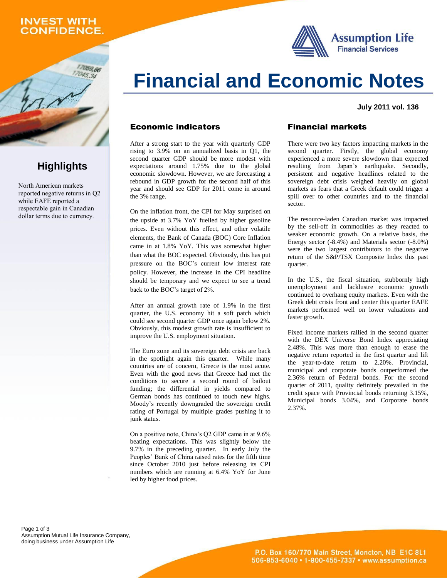### **INVEST WITH CONFIDENCE.**

059,66



**Financial and Economic Notes**

#### **July 2011 vol. 136**

#### Economic indicators

After a strong start to the year with quarterly GDP rising to 3.9% on an annualized basis in Q1, the second quarter GDP should be more modest with expectations around 1.75% due to the global economic slowdown. However, we are forecasting a rebound in GDP growth for the second half of this year and should see GDP for 2011 come in around the 3% range.

On the inflation front, the CPI for May surprised on the upside at 3.7% YoY fuelled by higher gasoline prices. Even without this effect, and other volatile elements, the Bank of Canada (BOC) Core Inflation came in at 1.8% YoY. This was somewhat higher than what the BOC expected. Obviously, this has put pressure on the BOC's current low interest rate policy. However, the increase in the CPI headline should be temporary and we expect to see a trend back to the BOC's target of 2%.

After an annual growth rate of 1.9% in the first quarter, the U.S. economy hit a soft patch which could see second quarter GDP once again below 2%. Obviously, this modest growth rate is insufficient to improve the U.S. employment situation.

The Euro zone and its sovereign debt crisis are back in the spotlight again this quarter. While many countries are of concern, Greece is the most acute. Even with the good news that Greece had met the conditions to secure a second round of bailout funding; the differential in yields compared to German bonds has continued to touch new highs. Moody's recently downgraded the sovereign credit rating of Portugal by multiple grades pushing it to junk status.

On a positive note, China's Q2 GDP came in at 9.6% beating expectations. This was slightly below the 9.7% in the preceding quarter. In early July the Peoples' Bank of China raised rates for the fifth time since October 2010 just before releasing its CPI numbers which are running at 6.4% YoY for June led by higher food prices.

#### Financial markets

There were two key factors impacting markets in the second quarter. Firstly, the global economy experienced a more severe slowdown than expected resulting from Japan's earthquake. Secondly, persistent and negative headlines related to the sovereign debt crisis weighed heavily on global markets as fears that a Greek default could trigger a spill over to other countries and to the financial sector.

The resource-laden Canadian market was impacted by the sell-off in commodities as they reacted to weaker economic growth. On a relative basis, the Energy sector (-8.4%) and Materials sector (-8.0%) were the two largest contributors to the negative return of the S&P/TSX Composite Index this past quarter.

In the U.S., the fiscal situation, stubbornly high unemployment and lacklustre economic growth continued to overhang equity markets. Even with the Greek debt crisis front and center this quarter EAFE markets performed well on lower valuations and faster growth.

Fixed income markets rallied in the second quarter with the DEX Universe Bond Index appreciating 2.48%. This was more than enough to erase the negative return reported in the first quarter and lift the year-to-date return to 2.20%. Provincial, municipal and corporate bonds outperformed the 2.36% return of Federal bonds. For the second quarter of 2011, quality definitely prevailed in the credit space with Provincial bonds returning 3.15%, Municipal bonds 3.04%, and Corporate bonds 2.37%.

Page 1 of 3 Assumption Mutual Life Insurance Company, doing business under Assumption Life



North American markets reported negative returns in Q2 while EAFE reported a respectable gain in Canadian dollar terms due to currency.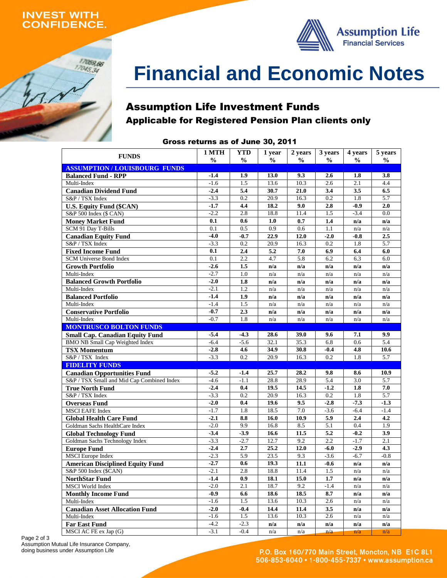### **INVEST WITH ONFIDENCE.**

17059,66  $17045,34$ 



# **Financial and Economic Notes**

# Assumption Life Investment Funds Applicable for Registered Pension Plan clients only

## Gross returns as of June 30, 2011

| <b>FUNDS</b>                               | 1 MTH            | <b>YTD</b>    | 1 year        | 2 years       | 3 years       | 4 years       | 5 years       |
|--------------------------------------------|------------------|---------------|---------------|---------------|---------------|---------------|---------------|
|                                            | $\frac{0}{0}$    | $\frac{0}{0}$ | $\frac{6}{6}$ | $\frac{6}{6}$ | $\frac{0}{0}$ | $\frac{0}{0}$ | $\frac{0}{0}$ |
| <b>ASSUMPTION / LOUISBOURG FUNDS</b>       |                  |               |               |               |               |               |               |
| <b>Balanced Fund - RPP</b><br>Multi-Index  | $-1.4$<br>$-1.6$ | 1.9<br>1.5    | 13.0<br>13.6  | 9.3<br>10.3   | 2.6<br>2.6    | 1.8<br>2.1    | 3.8<br>4.4    |
| <b>Canadian Dividend Fund</b>              | $-2.4$           | 5.4           | 30.7          | 21.0          | 3.4           | 3.5           | 6.5           |
| S&P / TSX Index                            | $-3.3$           | 0.2           | 20.9          | 16.3          | 0.2           | 1.8           | 5.7           |
| <b>U.S. Equity Fund (\$CAN)</b>            | $-1.7$           | 4.4           | 18.2          | 9.0           | 2.8           | $-0.9$        | 2.0           |
| S&P 500 Index (\$ CAN)                     | $-2.2$           | 2.8           | 18.8          | 11.4          | 1.5           | $-3.4$        | 0.0           |
| <b>Money Market Fund</b>                   | 0.1              | 0.6           | 1.0           | 0.7           | 1.4           | n/a           | n/a           |
| SCM 91 Day T-Bills                         | 0.1              | 0.5           | 0.9           | 0.6           | 1.1           | n/a           | n/a           |
| <b>Canadian Equity Fund</b>                | $-4.0$           | $-0.7$        | 22.9          | 12.0          | $-2.0$        | $-0.8$        | 2.5           |
| S&P / TSX Index                            | $-3.3$           | 0.2           | 20.9          | 16.3          | 0.2           | 1.8           | 5.7           |
| <b>Fixed Income Fund</b>                   | 0.1              | 2.4           | 5.2           | 7.0           | 6.9           | 6.4           | 6.0           |
| <b>SCM Universe Bond Index</b>             | 0.1              | 2.2           | 4.7           | 5.8           | 6.2           | 6.3           | 6.0           |
| <b>Growth Portfolio</b>                    | $-2.6$           | 1.5           | n/a           | n/a           | n/a           | n/a           | n/a           |
| Multi-Index                                | $-2.7$           | 1.0           | n/a           | n/a           | n/a           | n/a           | n/a           |
| <b>Balanced Growth Portfolio</b>           | $-2.0$           | 1.8           | n/a           | n/a           | n/a           | n/a           | n/a           |
| Multi-Index                                | $-2.1$           | 1.2           | n/a           | n/a           | n/a           | n/a           | n/a           |
| <b>Balanced Portfolio</b>                  | $-1.4$           | 1.9           | n/a           | n/a           | n/a           | n/a           | n/a           |
| Multi-Index                                | $-1.4$           | 1.5           | n/a           | n/a           | n/a           | n/a           | n/a           |
| <b>Conservative Portfolio</b>              | $-0.7$           | 2.3           | n/a           | n/a           | n/a           | n/a           | n/a           |
| Multi-Index                                | $-0.7$           | 1.8           | n/a           | n/a           | n/a           | n/a           | n/a           |
| <b>MONTRUSCO BOLTON FUNDS</b>              |                  |               |               |               |               |               |               |
| <b>Small Cap. Canadian Equity Fund</b>     | $-5.4$           | $-4.3$        | 28.6          | 39.0          | 9.6           | 7.1           | 9.9           |
| <b>BMO NB Small Cap Weighted Index</b>     | $-6.4$           | $-5.6$        | 32.1          | 35.3          | 6.8           | 0.6           | 5.4           |
| <b>TSX Momentum</b>                        | $-2.8$           | 4.6           | 34.9          | 30.8          | $-0.4$        | 4.8           | 10.6          |
| S&P / TSX Index                            | $-3.3$           | 0.2           | 20.9          | 16.3          | 0.2           | 1.8           | 5.7           |
| <b>FIDELITY FUNDS</b>                      |                  |               |               |               |               |               |               |
| <b>Canadian Opportunities Fund</b>         | $-5.2$           | $-1.4$        | 25.7          | 28.2          | 9.8           | 8.6           | 10.9          |
| S&P / TSX Small and Mid Cap Combined Index | $-4.6$           | $-1.1$        | 28.8          | 28.9          | 5.4           | 3.0           | 5.7           |
| <b>True North Fund</b>                     | $-2.4$           | 0.4           | 19.5          | 14.5          | $-1.2$        | 1.8           | 7.0           |
| S&P / TSX Index                            | $-3.3$           | 0.2           | 20.9          | 16.3          | 0.2           | 1.8           | 5.7           |
| <b>Overseas Fund</b>                       | $-2.0$           | 0.4           | 19.6          | 9.5           | $-2.8$        | $-7.3$        | $-1.3$        |
| <b>MSCI EAFE Index</b>                     | $-1.7$           | 1.8           | 18.5          | 7.0           | $-3.6$        | $-6.4$        | $-1.4$        |
| <b>Global Health Care Fund</b>             | $-2.1$           | 8.8           | 16.0          | 10.9          | 5.9           | 2.4           | 4.2           |
| Goldman Sachs HealthCare Index             | $-2.0$           | 9.9           | 16.8          | 8.5           | 5.1           | 0.4           | 1.9           |
| <b>Global Technology Fund</b>              | $-3.4$           | $-3.9$        | 16.6          | 11.5          | 5.2           | $-0.2$        | 3.9           |
| Goldman Sachs Technology Index             | $-3.3$           | $-2.7$        | 12.7          | 9.2           | 2.2           | $-1.7$        | 2.1           |
| <b>Europe Fund</b>                         | $-2.4$           | 2.7           | 25.2          | 12.0          | -6.0          | $-2.9$        | 4.3           |
| <b>MSCI</b> Europe Index                   | $-2.3$           | 5.9           | 23.5          | 9.3           | $-3.6$        | $-6.7$        | $-0.8$        |
| <b>American Disciplined Equity Fund</b>    | $-2.7$           | 0.6           | 19.3          | 11.1          | $-0.6$        | n/a           | n/a           |
| S&P 500 Index (\$CAN)                      | $-2.1$           | 2.8           | 18.8          | 11.4          | 1.5           | n/a           | n/a           |
| <b>NorthStar Fund</b>                      | $-1.4$           | 0.9           | 18.1          | 15.0          | 1.7           | n/a           | n/a           |
| MSCI World Index                           | $-2.0$           | 2.1           | 18.7          | 9.2           | $-1.4$        | n/a           | n/a           |
| <b>Monthly Income Fund</b>                 | $-0.9$           | 6.6           | 18.6          | 18.5          | 8.7           | n/a           | n/a           |
| Multi-Index                                | $-1.6$           | 1.5           | 13.6          | 10.3          | 2.6           | n/a           | n/a           |
| <b>Canadian Asset Allocation Fund</b>      | $-2.0$           | $-0.4$        | 14.4          | 11.4          | 3.5           | n/a           | n/a           |
| Multi-Index                                | $-1.6$           | 1.5           | 13.6          | 10.3          | 2.6           | n/a           | n/a           |
| <b>Far East Fund</b>                       | $-4.2$           | $-2.3$        | n/a           | n/a           | n/a           | n/a           | n/a           |
| MSCI AC FE ex Jap (G)                      | $-3.1$           | $-0.4$        | n/a           | n/a           | n/a           | n/a           | n/a           |

Page 2 of 3 Assumption Mutual Life Insurance Company, doing business under Assumption Life